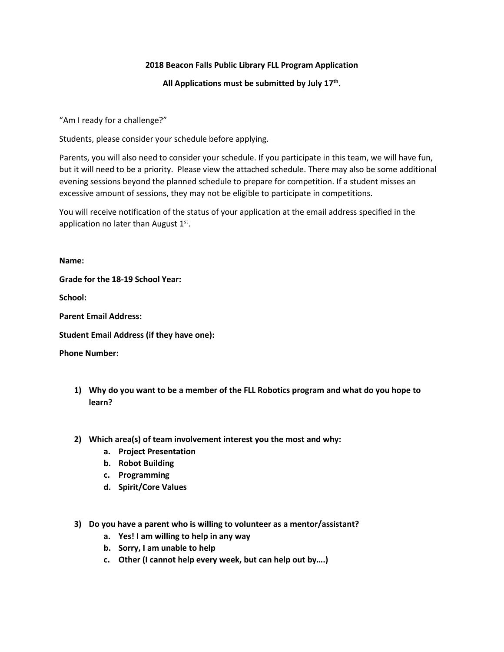# **2018 Beacon Falls Public Library FLL Program Application**

**All Applications must be submitted by July 17th .**

"Am I ready for a challenge?"

Students, please consider your schedule before applying.

Parents, you will also need to consider your schedule. If you participate in this team, we will have fun, but it will need to be a priority. Please view the attached schedule. There may also be some additional evening sessions beyond the planned schedule to prepare for competition. If a student misses an excessive amount of sessions, they may not be eligible to participate in competitions.

You will receive notification of the status of your application at the email address specified in the application no later than August  $1<sup>st</sup>$ .

### **Name:**

**Grade for the 18-19 School Year:**

**School:**

**Parent Email Address:**

**Student Email Address (if they have one):**

**Phone Number:**

- **1) Why do you want to be a member of the FLL Robotics program and what do you hope to learn?**
- **2) Which area(s) of team involvement interest you the most and why:**
	- **a. Project Presentation**
	- **b. Robot Building**
	- **c. Programming**
	- **d. Spirit/Core Values**
- **3) Do you have a parent who is willing to volunteer as a mentor/assistant?**
	- **a. Yes! I am willing to help in any way**
	- **b. Sorry, I am unable to help**
	- **c. Other (I cannot help every week, but can help out by….)**